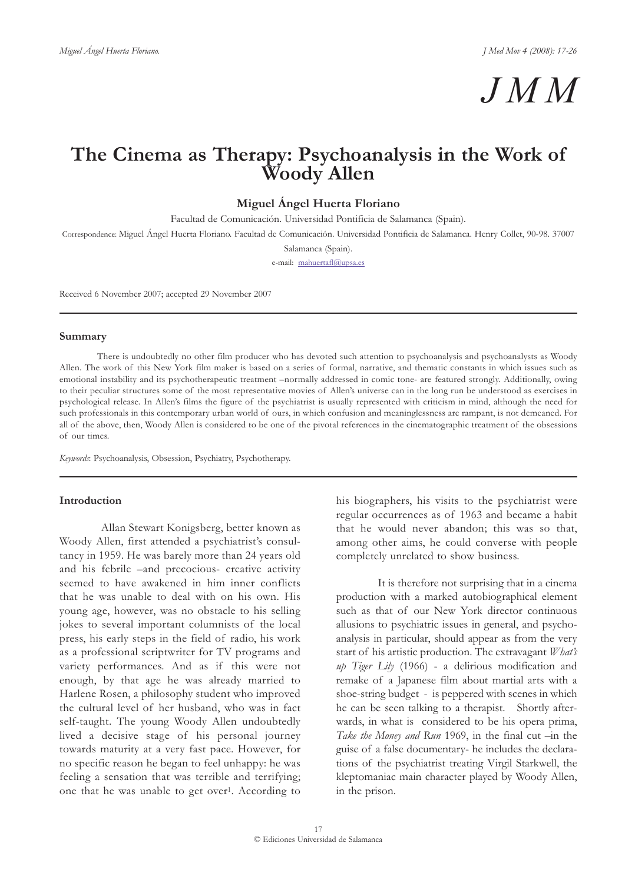# *JMM*

# **The Cinema as Therapy: Psychoanalysis in the Work of Woody Allen**

**Miguel Ángel Huerta Floriano**

Facultad de Comunicación. Universidad Pontificia de Salamanca (Spain).

Correspondence: Miguel Ángel Huerta Floriano. Facultad de Comunicación. Universidad Pontificia de Salamanca. Henry Collet, 90-98. 37007

Salamanca (Spain).

e-mail: mahuertafl@upsa.es

Received 6 November 2007; accepted 29 November 2007

### **Summary**

There is undoubtedly no other film producer who has devoted such attention to psychoanalysis and psychoanalysts as Woody Allen. The work of this New York film maker is based on a series of formal, narrative, and thematic constants in which issues such as emotional instability and its psychotherapeutic treatment –normally addressed in comic tone- are featured strongly. Additionally, owing to their peculiar structures some of the most representative movies of Allen's universe can in the long run be understood as exercises in psychological release. In Allen's films the figure of the psychiatrist is usually represented with criticism in mind, although the need for such professionals in this contemporary urban world of ours, in which confusion and meaninglessness are rampant, is not demeaned. For all of the above, then, Woody Allen is considered to be one of the pivotal references in the cinematographic treatment of the obsessions of our times.

*Keywords*: Psychoanalysis, Obsession, Psychiatry, Psychotherapy.

### **Introduction**

Allan Stewart Konigsberg, better known as Woody Allen, first attended a psychiatrist's consultancy in 1959. He was barely more than 24 years old and his febrile –and precocious- creative activity seemed to have awakened in him inner conflicts that he was unable to deal with on his own. His young age, however, was no obstacle to his selling jokes to several important columnists of the local press, his early steps in the field of radio, his work as a professional scriptwriter for TV programs and variety performances. And as if this were not enough, by that age he was already married to Harlene Rosen, a philosophy student who improved the cultural level of her husband, who was in fact self-taught. The young Woody Allen undoubtedly lived a decisive stage of his personal journey towards maturity at a very fast pace. However, for no specific reason he began to feel unhappy: he was feeling a sensation that was terrible and terrifying; one that he was unable to get over1. According to

his biographers, his visits to the psychiatrist were regular occurrences as of 1963 and became a habit that he would never abandon; this was so that, among other aims, he could converse with people completely unrelated to show business.

It is therefore not surprising that in a cinema production with a marked autobiographical element such as that of our New York director continuous allusions to psychiatric issues in general, and psychoanalysis in particular, should appear as from the very start of his artistic production. The extravagant *What's up Tiger Lily* (1966) - a delirious modification and remake of a Japanese film about martial arts with a shoe-string budget - is peppered with scenes in which he can be seen talking to a therapist. Shortly afterwards, in what is considered to be his opera prima, *Take the Money and Run* 1969, in the final cut –in the guise of a false documentary- he includes the declarations of the psychiatrist treating Virgil Starkwell, the kleptomaniac main character played by Woody Allen, in the prison.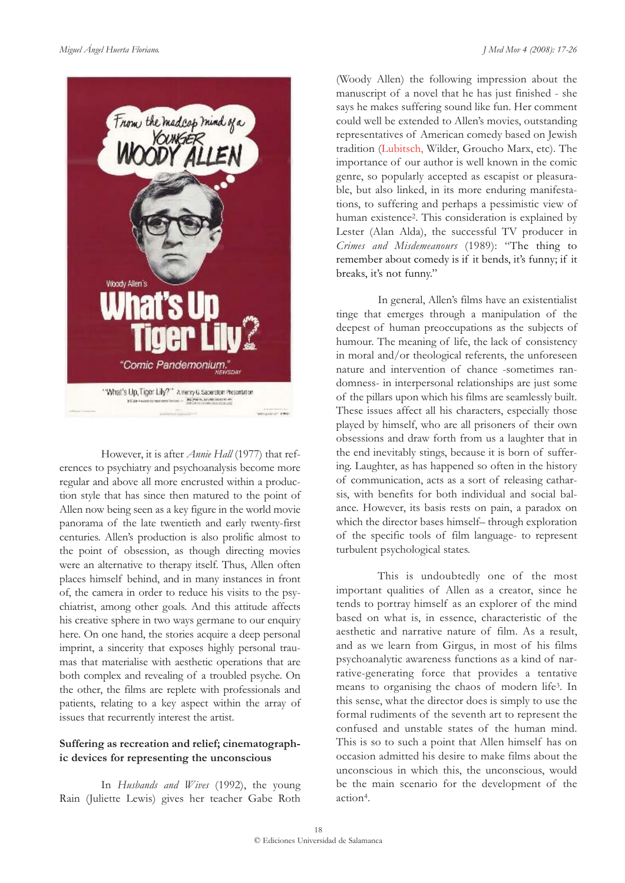

However, it is after *Annie Hall* (1977) that references to psychiatry and psychoanalysis become more regular and above all more encrusted within a production style that has since then matured to the point of Allen now being seen as a key figure in the world movie panorama of the late twentieth and early twenty-first centuries. Allen's production is also prolific almost to the point of obsession, as though directing movies were an alternative to therapy itself. Thus, Allen often places himself behind, and in many instances in front of, the camera in order to reduce his visits to the psychiatrist, among other goals. And this attitude affects his creative sphere in two ways germane to our enquiry here. On one hand, the stories acquire a deep personal imprint, a sincerity that exposes highly personal traumas that materialise with aesthetic operations that are both complex and revealing of a troubled psyche. On the other, the films are replete with professionals and patients, relating to a key aspect within the array of issues that recurrently interest the artist.

# **Suffering as recreation and relief; cinematographic devices for representing the unconscious**

In *Husbands and Wives* (1992), the young Rain (Juliette Lewis) gives her teacher Gabe Roth

(Woody Allen) the following impression about the manuscript of a novel that he has just finished - she says he makes suffering sound like fun. Her comment could well be extended to Allen's movies, outstanding representatives of American comedy based on Jewish tradition (Lubitsch, Wilder, Groucho Marx, etc). The importance of our author is well known in the comic genre, so popularly accepted as escapist or pleasurable, but also linked, in its more enduring manifestations, to suffering and perhaps a pessimistic view of human existence2. This consideration is explained by Lester (Alan Alda), the successful TV producer in *Crimes and Misdemeanours* (1989): "The thing to remember about comedy is if it bends, it's funny; if it breaks, it's not funny."

In general, Allen's films have an existentialist tinge that emerges through a manipulation of the deepest of human preoccupations as the subjects of humour. The meaning of life, the lack of consistency in moral and/or theological referents, the unforeseen nature and intervention of chance -sometimes randomness- in interpersonal relationships are just some of the pillars upon which his films are seamlessly built. These issues affect all his characters, especially those played by himself, who are all prisoners of their own obsessions and draw forth from us a laughter that in the end inevitably stings, because it is born of suffering. Laughter, as has happened so often in the history of communication, acts as a sort of releasing catharsis, with benefits for both individual and social balance. However, its basis rests on pain, a paradox on which the director bases himself– through exploration of the specific tools of film language- to represent turbulent psychological states.

This is undoubtedly one of the most important qualities of Allen as a creator, since he tends to portray himself as an explorer of the mind based on what is, in essence, characteristic of the aesthetic and narrative nature of film. As a result, and as we learn from Girgus, in most of his films psychoanalytic awareness functions as a kind of narrative-generating force that provides a tentative means to organising the chaos of modern life3. In this sense, what the director does is simply to use the formal rudiments of the seventh art to represent the confused and unstable states of the human mind. This is so to such a point that Allen himself has on occasion admitted his desire to make films about the unconscious in which this, the unconscious, would be the main scenario for the development of the action4.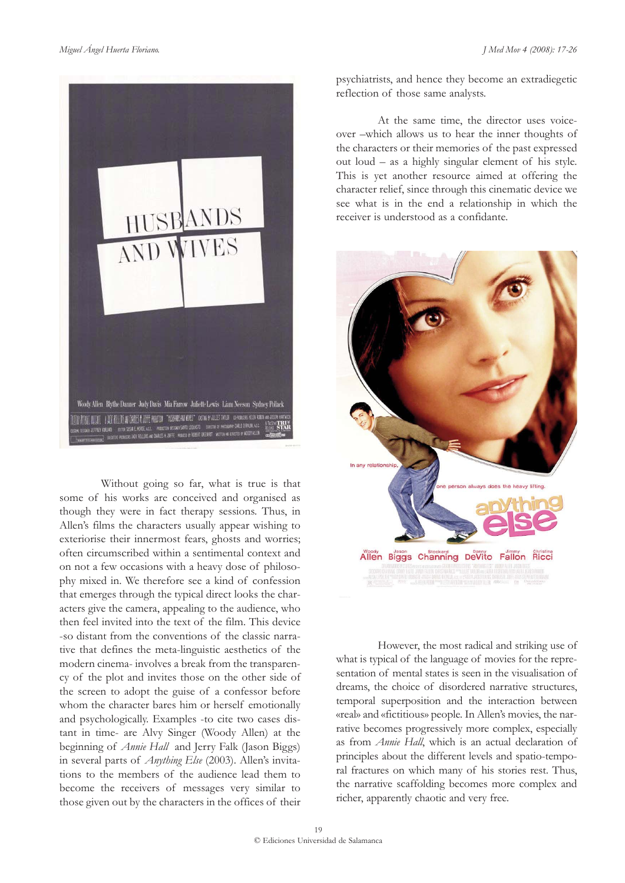

Without going so far, what is true is that some of his works are conceived and organised as though they were in fact therapy sessions. Thus, in Allen's films the characters usually appear wishing to exteriorise their innermost fears, ghosts and worries; often circumscribed within a sentimental context and on not a few occasions with a heavy dose of philosophy mixed in. We therefore see a kind of confession that emerges through the typical direct looks the characters give the camera, appealing to the audience, who then feel invited into the text of the film. This device -so distant from the conventions of the classic narrative that defines the meta-linguistic aesthetics of the modern cinema- involves a break from the transparency of the plot and invites those on the other side of the screen to adopt the guise of a confessor before whom the character bares him or herself emotionally and psychologically. Examples -to cite two cases distant in time- are Alvy Singer (Woody Allen) at the beginning of *Annie Hall* and Jerry Falk (Jason Biggs) in several parts of *Anything Else* (2003). Allen's invitations to the members of the audience lead them to become the receivers of messages very similar to those given out by the characters in the offices of their psychiatrists, and hence they become an extradiegetic reflection of those same analysts.

At the same time, the director uses voiceover –which allows us to hear the inner thoughts of the characters or their memories of the past expressed out loud – as a highly singular element of his style. This is yet another resource aimed at offering the character relief, since through this cinematic device we see what is in the end a relationship in which the receiver is understood as a confidante.



However, the most radical and striking use of what is typical of the language of movies for the representation of mental states is seen in the visualisation of dreams, the choice of disordered narrative structures, temporal superposition and the interaction between «real» and «fictitious» people. In Allen's movies, the narrative becomes progressively more complex, especially as from *Annie Hall*, which is an actual declaration of principles about the different levels and spatio-temporal fractures on which many of his stories rest. Thus, the narrative scaffolding becomes more complex and richer, apparently chaotic and very free.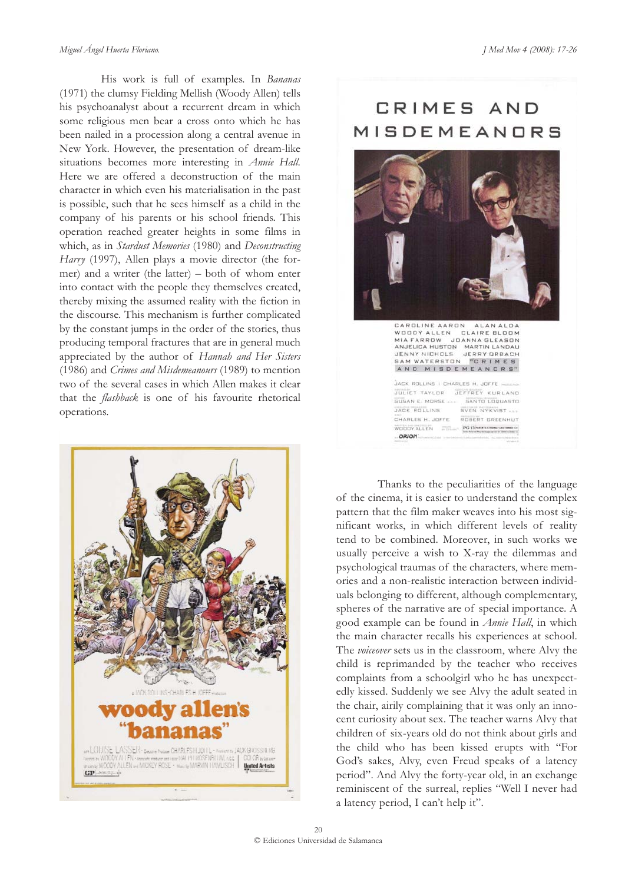His work is full of examples. In *Bananas* (1971) the clumsy Fielding Mellish (Woody Allen) tells his psychoanalyst about a recurrent dream in which some religious men bear a cross onto which he has been nailed in a procession along a central avenue in New York. However, the presentation of dream-like situations becomes more interesting in *Annie Hall*. Here we are offered a deconstruction of the main character in which even his materialisation in the past is possible, such that he sees himself as a child in the company of his parents or his school friends. This operation reached greater heights in some films in which, as in *Stardust Memories* (1980) and *Deconstructing Harry* (1997), Allen plays a movie director (the former) and a writer (the latter) – both of whom enter into contact with the people they themselves created, thereby mixing the assumed reality with the fiction in the discourse. This mechanism is further complicated by the constant jumps in the order of the stories, thus producing temporal fractures that are in general much appreciated by the author of *Hannah and Her Sisters* (1986) and *Crimes and Misdemeanours* (1989) to mention two of the several cases in which Allen makes it clear that the *flashback* is one of his favourite rhetorical operations.



# CRIMES AND MISDEMEANORS



Thanks to the peculiarities of the language of the cinema, it is easier to understand the complex pattern that the film maker weaves into his most significant works, in which different levels of reality tend to be combined. Moreover, in such works we usually perceive a wish to X-ray the dilemmas and psychological traumas of the characters, where memories and a non-realistic interaction between individuals belonging to different, although complementary, spheres of the narrative are of special importance. A good example can be found in *Annie Hall*, in which the main character recalls his experiences at school. The *voiceover* sets us in the classroom, where Alvy the child is reprimanded by the teacher who receives complaints from a schoolgirl who he has unexpectedly kissed. Suddenly we see Alvy the adult seated in the chair, airily complaining that it was only an innocent curiosity about sex. The teacher warns Alvy that children of six-years old do not think about girls and the child who has been kissed erupts with "For God's sakes, Alvy, even Freud speaks of a latency period". And Alvy the forty-year old, in an exchange reminiscent of the surreal, replies "Well I never had a latency period, I can't help it".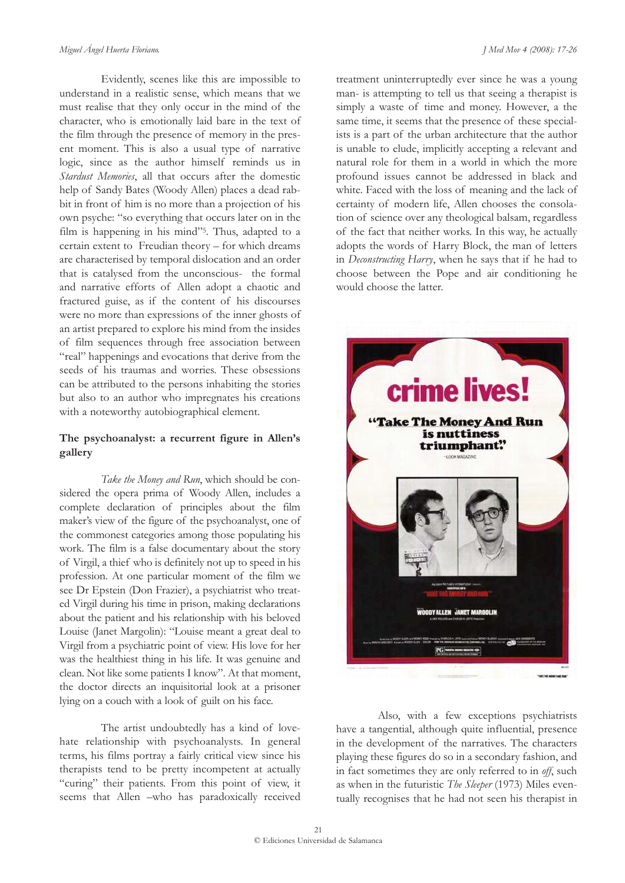Evidently, scenes like this are impossible to understand in a realistic sense, which means that we must realise that they only occur in the mind of the character, who is emotionally laid bare in the text of the film through the presence of memory in the present moment. This is also a usual type of narrative logic, since as the author himself reminds us in *Stardust Memories*, all that occurs after the domestic help of Sandy Bates (Woody Allen) places a dead rabbit in front of him is no more than a projection of his own psyche: "so everything that occurs later on in the film is happening in his mind"5. Thus, adapted to a certain extent to Freudian theory – for which dreams are characterised by temporal dislocation and an order that is catalysed from the unconscious- the formal and narrative efforts of Allen adopt a chaotic and fractured guise, as if the content of his discourses were no more than expressions of the inner ghosts of an artist prepared to explore his mind from the insides of film sequences through free association between "real" happenings and evocations that derive from the seeds of his traumas and worries. These obsessions can be attributed to the persons inhabiting the stories but also to an author who impregnates his creations with a noteworthy autobiographical element.

# **The psychoanalyst: a recurrent figure in Allen's gallery**

*Take the Money and Run*, which should be considered the opera prima of Woody Allen, includes a complete declaration of principles about the film maker's view of the figure of the psychoanalyst, one of the commonest categories among those populating his work. The film is a false documentary about the story of Virgil, a thief who is definitely not up to speed in his profession. At one particular moment of the film we see Dr Epstein (Don Frazier), a psychiatrist who treated Virgil during his time in prison, making declarations about the patient and his relationship with his beloved Louise (Janet Margolin): "Louise meant a great deal to Virgil from a psychiatric point of view. His love for her was the healthiest thing in his life. It was genuine and clean. Not like some patients I know". At that moment, the doctor directs an inquisitorial look at a prisoner lying on a couch with a look of guilt on his face.

The artist undoubtedly has a kind of lovehate relationship with psychoanalysts. In general terms, his films portray a fairly critical view since his therapists tend to be pretty incompetent at actually "curing" their patients. From this point of view, it seems that Allen –who has paradoxically received

treatment uninterruptedly ever since he was a young man- is attempting to tell us that seeing a therapist is simply a waste of time and money. However, a the same time, it seems that the presence of these specialists is a part of the urban architecture that the author is unable to elude, implicitly accepting a relevant and natural role for them in a world in which the more profound issues cannot be addressed in black and white. Faced with the loss of meaning and the lack of certainty of modern life, Allen chooses the consolation of science over any theological balsam, regardless of the fact that neither works. In this way, he actually adopts the words of Harry Block, the man of letters in *Deconstructing Harry*, when he says that if he had to choose between the Pope and air conditioning he would choose the latter.



Also, with a few exceptions psychiatrists have a tangential, although quite influential, presence in the development of the narratives. The characters playing these figures do so in a secondary fashion, and in fact sometimes they are only referred to in *off*, such as when in the futuristic *The Sleeper* (1973) Miles eventually recognises that he had not seen his therapist in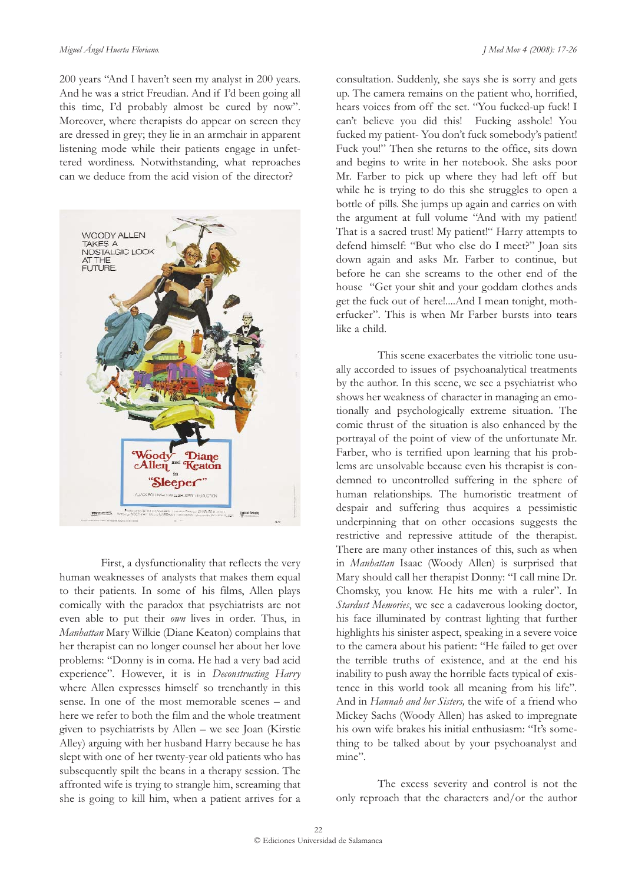#### *Miguel Ángel Huerta Floriano. J Med Mov 4 (2008): 17-26*

200 years "And I haven't seen my analyst in 200 years. And he was a strict Freudian. And if I'd been going all this time, I'd probably almost be cured by now". Moreover, where therapists do appear on screen they are dressed in grey; they lie in an armchair in apparent listening mode while their patients engage in unfettered wordiness. Notwithstanding, what reproaches can we deduce from the acid vision of the director?



First, a dysfunctionality that reflects the very human weaknesses of analysts that makes them equal to their patients. In some of his films, Allen plays comically with the paradox that psychiatrists are not even able to put their *own* lives in order. Thus, in *Manhattan* Mary Wilkie (Diane Keaton) complains that her therapist can no longer counsel her about her love problems: "Donny is in coma. He had a very bad acid experience"*.* However, it is in *Deconstructing Harry* where Allen expresses himself so trenchantly in this sense. In one of the most memorable scenes – and here we refer to both the film and the whole treatment given to psychiatrists by Allen – we see Joan (Kirstie Alley) arguing with her husband Harry because he has slept with one of her twenty-year old patients who has subsequently spilt the beans in a therapy session. The affronted wife is trying to strangle him, screaming that she is going to kill him, when a patient arrives for a consultation. Suddenly, she says she is sorry and gets up. The camera remains on the patient who, horrified, hears voices from off the set. "You fucked-up fuck! I can't believe you did this! Fucking asshole! You fucked my patient- You don't fuck somebody's patient! Fuck you!" Then she returns to the office, sits down and begins to write in her notebook. She asks poor Mr. Farber to pick up where they had left off but while he is trying to do this she struggles to open a bottle of pills. She jumps up again and carries on with the argument at full volume "And with my patient! That is a sacred trust! My patient!" Harry attempts to defend himself: "But who else do I meet?" Joan sits down again and asks Mr. Farber to continue, but before he can she screams to the other end of the house "Get your shit and your goddam clothes ands get the fuck out of here!....And I mean tonight, motherfucker". This is when Mr Farber bursts into tears like a child.

This scene exacerbates the vitriolic tone usually accorded to issues of psychoanalytical treatments by the author. In this scene, we see a psychiatrist who shows her weakness of character in managing an emotionally and psychologically extreme situation. The comic thrust of the situation is also enhanced by the portrayal of the point of view of the unfortunate Mr. Farber, who is terrified upon learning that his problems are unsolvable because even his therapist is condemned to uncontrolled suffering in the sphere of human relationships. The humoristic treatment of despair and suffering thus acquires a pessimistic underpinning that on other occasions suggests the restrictive and repressive attitude of the therapist. There are many other instances of this, such as when in *Manhattan* Isaac (Woody Allen) is surprised that Mary should call her therapist Donny: "I call mine Dr. Chomsky, you know. He hits me with a ruler". In *Stardust Memories*, we see a cadaverous looking doctor, his face illuminated by contrast lighting that further highlights his sinister aspect, speaking in a severe voice to the camera about his patient: "He failed to get over the terrible truths of existence, and at the end his inability to push away the horrible facts typical of existence in this world took all meaning from his life"*.* And in *Hannah and her Sisters,* the wife of a friend who Mickey Sachs (Woody Allen) has asked to impregnate his own wife brakes his initial enthusiasm: "It's something to be talked about by your psychoanalyst and mine"*.*

The excess severity and control is not the only reproach that the characters and/or the author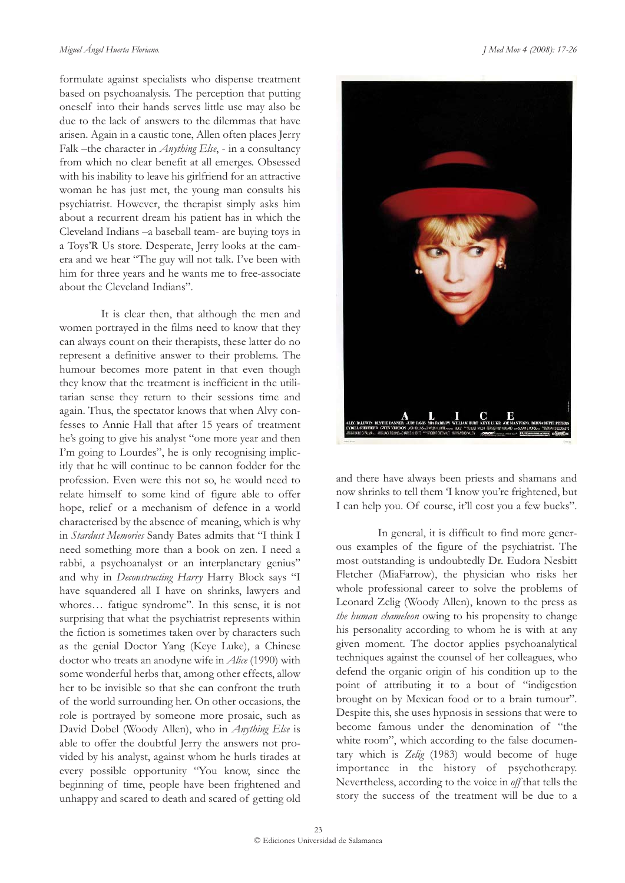formulate against specialists who dispense treatment based on psychoanalysis. The perception that putting oneself into their hands serves little use may also be due to the lack of answers to the dilemmas that have arisen. Again in a caustic tone, Allen often places Jerry Falk –the character in *Anything Else*, - in a consultancy from which no clear benefit at all emerges. Obsessed with his inability to leave his girlfriend for an attractive woman he has just met, the young man consults his psychiatrist. However, the therapist simply asks him about a recurrent dream his patient has in which the Cleveland Indians –a baseball team- are buying toys in a Toys'R Us store. Desperate, Jerry looks at the camera and we hear "The guy will not talk. I've been with him for three years and he wants me to free-associate about the Cleveland Indians".

It is clear then, that although the men and women portrayed in the films need to know that they can always count on their therapists, these latter do no represent a definitive answer to their problems. The humour becomes more patent in that even though they know that the treatment is inefficient in the utilitarian sense they return to their sessions time and again. Thus, the spectator knows that when Alvy confesses to Annie Hall that after 15 years of treatment he's going to give his analyst "one more year and then I'm going to Lourdes", he is only recognising implicitly that he will continue to be cannon fodder for the profession. Even were this not so, he would need to relate himself to some kind of figure able to offer hope, relief or a mechanism of defence in a world characterised by the absence of meaning, which is why in *Stardust Memories* Sandy Bates admits that "I think I need something more than a book on zen. I need a rabbi, a psychoanalyst or an interplanetary genius" and why in *Deconstructing Harry* Harry Block says "I have squandered all I have on shrinks, lawyers and whores… fatigue syndrome". In this sense, it is not surprising that what the psychiatrist represents within the fiction is sometimes taken over by characters such as the genial Doctor Yang (Keye Luke), a Chinese doctor who treats an anodyne wife in *Alice* (1990) with some wonderful herbs that, among other effects, allow her to be invisible so that she can confront the truth of the world surrounding her. On other occasions, the role is portrayed by someone more prosaic, such as David Dobel (Woody Allen), who in *Anything Else* is able to offer the doubtful Jerry the answers not provided by his analyst, against whom he hurls tirades at every possible opportunity "You know, since the beginning of time, people have been frightened and unhappy and scared to death and scared of getting old



and there have always been priests and shamans and now shrinks to tell them 'I know you're frightened, but I can help you. Of course, it'll cost you a few bucks".

In general, it is difficult to find more generous examples of the figure of the psychiatrist. The most outstanding is undoubtedly Dr. Eudora Nesbitt Fletcher (MiaFarrow), the physician who risks her whole professional career to solve the problems of Leonard Zelig (Woody Allen), known to the press as *the human chameleon* owing to his propensity to change his personality according to whom he is with at any given moment. The doctor applies psychoanalytical techniques against the counsel of her colleagues, who defend the organic origin of his condition up to the point of attributing it to a bout of "indigestion brought on by Mexican food or to a brain tumour". Despite this, she uses hypnosis in sessions that were to become famous under the denomination of "the white room", which according to the false documentary which is *Zelig* (1983) would become of huge importance in the history of psychotherapy. Nevertheless, according to the voice in *off* that tells the story the success of the treatment will be due to a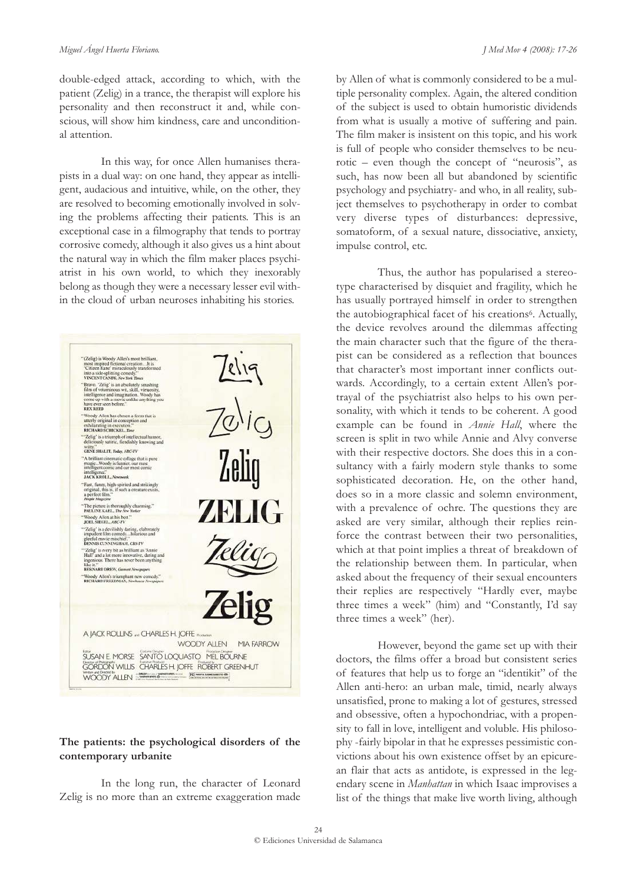double-edged attack, according to which, with the patient (Zelig) in a trance, the therapist will explore his personality and then reconstruct it and, while conscious, will show him kindness, care and unconditional attention.

In this way, for once Allen humanises therapists in a dual way: on one hand, they appear as intelligent, audacious and intuitive, while, on the other, they are resolved to becoming emotionally involved in solving the problems affecting their patients. This is an exceptional case in a filmography that tends to portray corrosive comedy, although it also gives us a hint about the natural way in which the film maker places psychiatrist in his own world, to which they inexorably belong as though they were a necessary lesser evil within the cloud of urban neuroses inhabiting his stories.



### **The patients: the psychological disorders of the contemporary urbanite**

In the long run, the character of Leonard Zelig is no more than an extreme exaggeration made

by Allen of what is commonly considered to be a multiple personality complex. Again, the altered condition of the subject is used to obtain humoristic dividends from what is usually a motive of suffering and pain. The film maker is insistent on this topic, and his work is full of people who consider themselves to be neurotic – even though the concept of "neurosis", as such, has now been all but abandoned by scientific psychology and psychiatry- and who, in all reality, subject themselves to psychotherapy in order to combat very diverse types of disturbances: depressive, somatoform, of a sexual nature, dissociative, anxiety, impulse control, etc.

Thus, the author has popularised a stereotype characterised by disquiet and fragility, which he has usually portrayed himself in order to strengthen the autobiographical facet of his creations<sup>6</sup>. Actually, the device revolves around the dilemmas affecting the main character such that the figure of the therapist can be considered as a reflection that bounces that character's most important inner conflicts outwards. Accordingly, to a certain extent Allen's portrayal of the psychiatrist also helps to his own personality, with which it tends to be coherent. A good example can be found in *Annie Hall*, where the screen is split in two while Annie and Alvy converse with their respective doctors. She does this in a consultancy with a fairly modern style thanks to some sophisticated decoration. He, on the other hand, does so in a more classic and solemn environment, with a prevalence of ochre. The questions they are asked are very similar, although their replies reinforce the contrast between their two personalities, which at that point implies a threat of breakdown of the relationship between them. In particular, when asked about the frequency of their sexual encounters their replies are respectively "Hardly ever, maybe three times a week" (him) and "Constantly, I'd say three times a week" (her).

However, beyond the game set up with their doctors, the films offer a broad but consistent series of features that help us to forge an "identikit" of the Allen anti-hero: an urban male, timid, nearly always unsatisfied, prone to making a lot of gestures, stressed and obsessive, often a hypochondriac, with a propensity to fall in love, intelligent and voluble. His philosophy -fairly bipolar in that he expresses pessimistic convictions about his own existence offset by an epicurean flair that acts as antidote, is expressed in the legendary scene in *Manhattan* in which Isaac improvises a list of the things that make live worth living, although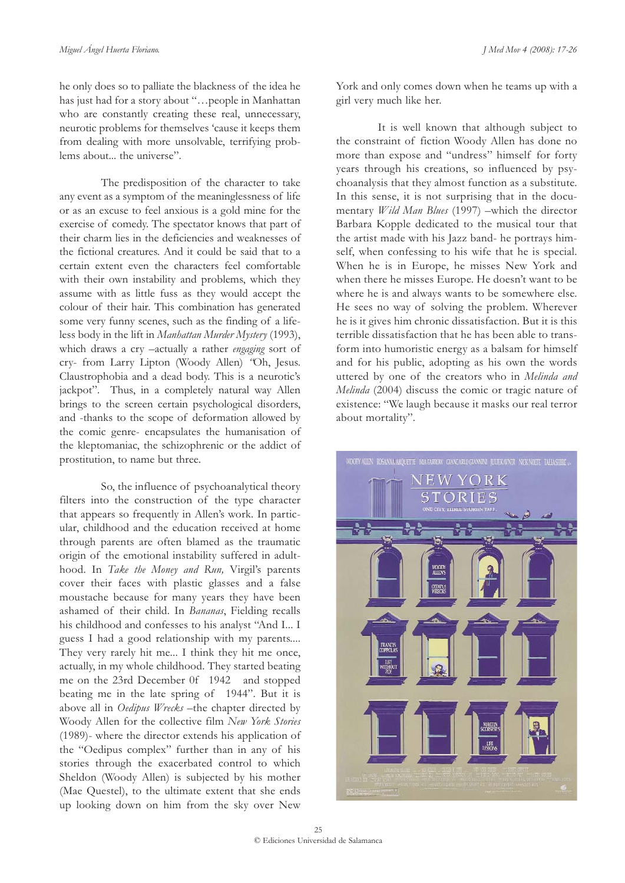he only does so to palliate the blackness of the idea he has just had for a story about "…people in Manhattan who are constantly creating these real, unnecessary, neurotic problems for themselves 'cause it keeps them from dealing with more unsolvable, terrifying problems about... the universe".

The predisposition of the character to take any event as a symptom of the meaninglessness of life or as an excuse to feel anxious is a gold mine for the exercise of comedy. The spectator knows that part of their charm lies in the deficiencies and weaknesses of the fictional creatures. And it could be said that to a certain extent even the characters feel comfortable with their own instability and problems, which they assume with as little fuss as they would accept the colour of their hair. This combination has generated some very funny scenes, such as the finding of a lifeless body in the lift in *Manhattan Murder Mystery* (1993), which draws a cry –actually a rather *engaging* sort of cry- from Larry Lipton (Woody Allen) *"*Oh, Jesus. Claustrophobia and a dead body. This is a neurotic's jackpot". Thus, in a completely natural way Allen brings to the screen certain psychological disorders, and -thanks to the scope of deformation allowed by the comic genre- encapsulates the humanisation of the kleptomaniac, the schizophrenic or the addict of prostitution, to name but three.

So, the influence of psychoanalytical theory filters into the construction of the type character that appears so frequently in Allen's work. In particular, childhood and the education received at home through parents are often blamed as the traumatic origin of the emotional instability suffered in adulthood. In *Take the Money and Run,* Virgil's parents cover their faces with plastic glasses and a false moustache because for many years they have been ashamed of their child. In *Bananas*, Fielding recalls his childhood and confesses to his analyst "And I... I guess I had a good relationship with my parents.... They very rarely hit me... I think they hit me once, actually, in my whole childhood. They started beating me on the 23rd December 0f 1942 and stopped beating me in the late spring of 1944". But it is above all in *Oedipus Wrecks* –the chapter directed by Woody Allen for the collective film *New York Stories* (1989)- where the director extends his application of the "Oedipus complex" further than in any of his stories through the exacerbated control to which Sheldon (Woody Allen) is subjected by his mother (Mae Questel), to the ultimate extent that she ends up looking down on him from the sky over New

York and only comes down when he teams up with a girl very much like her.

It is well known that although subject to the constraint of fiction Woody Allen has done no more than expose and "undress" himself for forty years through his creations, so influenced by psychoanalysis that they almost function as a substitute. In this sense, it is not surprising that in the documentary *Wild Man Blues* (1997) –which the director Barbara Kopple dedicated to the musical tour that the artist made with his Jazz band- he portrays himself, when confessing to his wife that he is special. When he is in Europe, he misses New York and when there he misses Europe. He doesn't want to be where he is and always wants to be somewhere else. He sees no way of solving the problem. Wherever he is it gives him chronic dissatisfaction. But it is this terrible dissatisfaction that he has been able to transform into humoristic energy as a balsam for himself and for his public, adopting as his own the words uttered by one of the creators who in *Melinda and Melinda* (2004) discuss the comic or tragic nature of existence: "We laugh because it masks our real terror about mortality"*.*